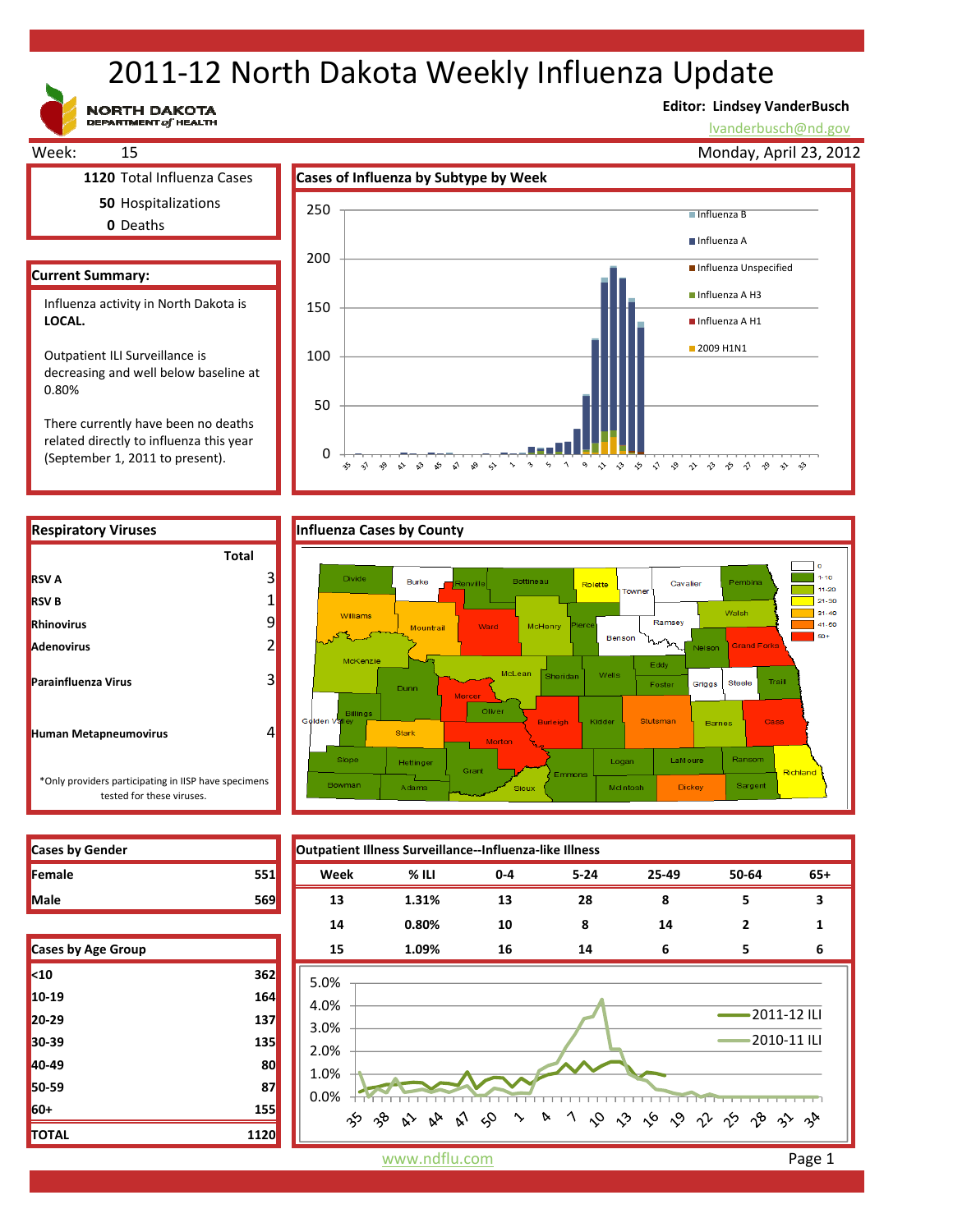# 2011‐12 North Dakota Weekly Influenza Update

**NORTH DAKOTA**<br>DEPARTMENT of HEALTH

(September 1, 2011 to present).

# **Editor: Lindsey VanderBusch**

lvanderbusch@nd.gov



0

 $\hat{\mathbf{v}}$ 

 $\sim$  $\approx$   $\approx$ ళ √ ୢୄୄ  $\rightsquigarrow$ 

☆



| <b>Cases by Gender</b> |  |
|------------------------|--|
| Female                 |  |
| <b>Male</b>            |  |

**RSV A**

**RSV B**

| Cases by Age Group |      |
|--------------------|------|
| $10$               | 362  |
| 10-19              | 164  |
| 20-29              | 137  |
| 30-39              | 135  |
| 40-49              | 80   |
| 50-59              | 87   |
| 60+                | 155  |
| <b>TOTAL</b>       | 1120 |



 $\Delta$ 

っ ぐ ぐ ぐ ぐ ぐ で や ぐ や ゃ ゃ

 $\ddot{\phantom{0}}$  $\varsigma_2$ 

www.ndflu.com **Page 1**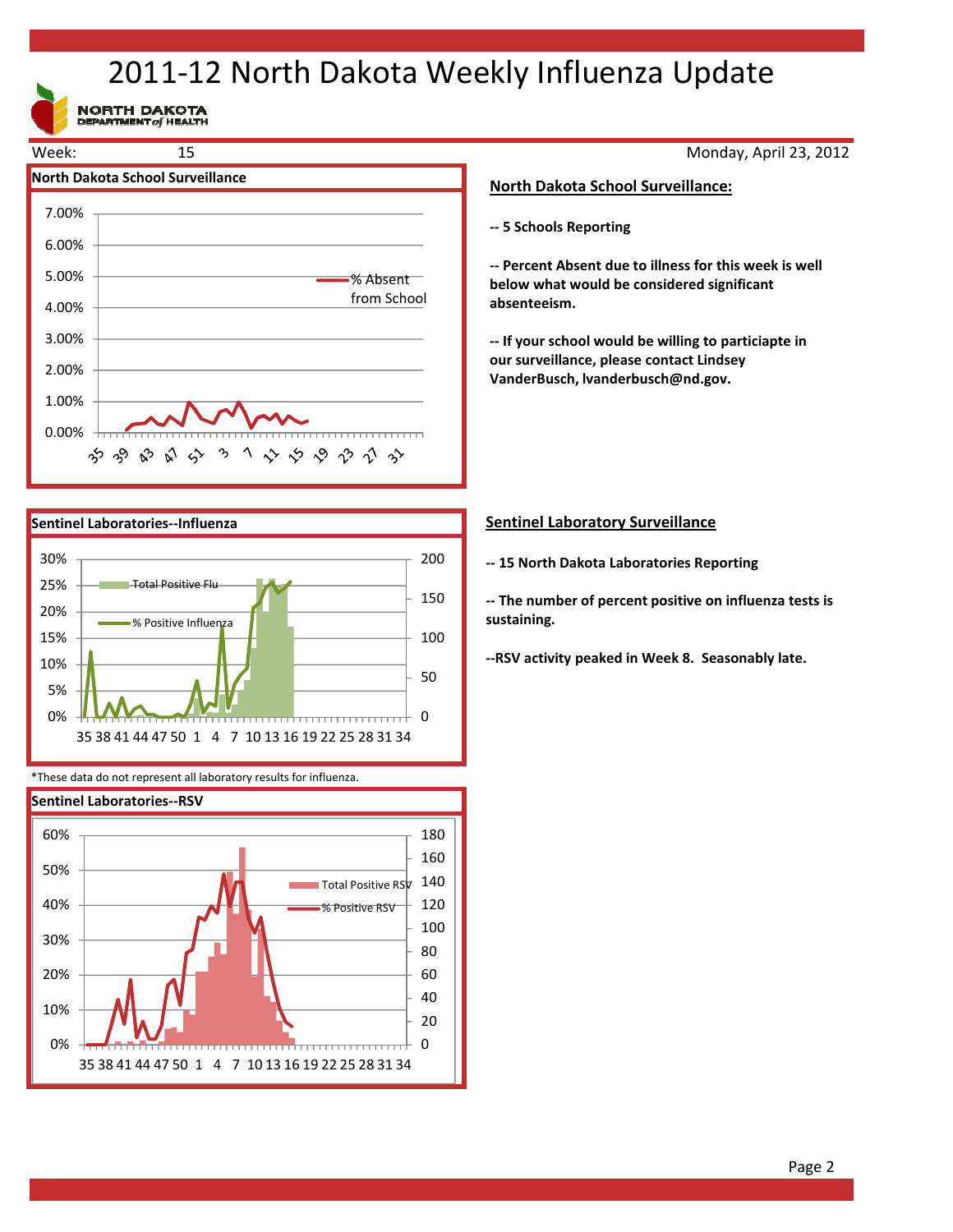# 2011‐12 North Dakota Weekly Influenza Update

NORTH DAKOTA





\*These data do not represent all laboratory results for influenza.



# Monday, April 23, 2012

## **North Dakota School Surveillance:**

**‐‐ 5 Schools Reporting**

**‐‐ Percent Absent due to illness for this week is well below what would be considered significant absenteeism.**

**‐‐ If your school would be willing to particiapte in our surveillance, please contact Lindsey VanderBusch, lvanderbusch@nd.gov.**

## **Sentinel Laboratory Surveillance**

**‐‐ 15 North Dakota Laboratories Reporting**

**‐‐ The number of percent positive on influenza tests is sustaining.** 

**‐‐RSV activity peaked in Week 8. Seasonably late.**